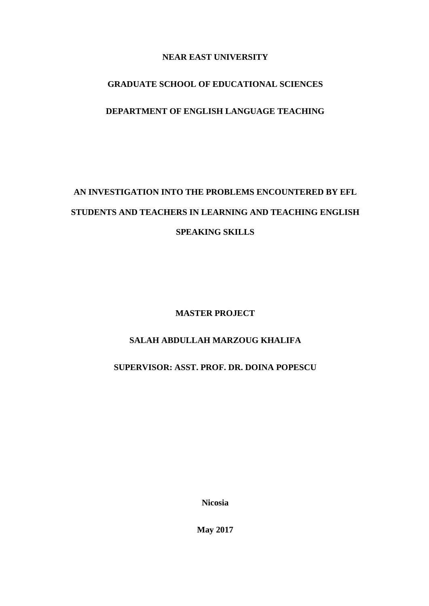# **NEAR EAST UNIVERSITY**

# **GRADUATE SCHOOL OF EDUCATIONAL SCIENCES**

# **DEPARTMENT OF ENGLISH LANGUAGE TEACHING**

# **AN INVESTIGATION INTO THE PROBLEMS ENCOUNTERED BY EFL STUDENTS AND TEACHERS IN LEARNING AND TEACHING ENGLISH SPEAKING SKILLS**

**MASTER PROJECT**

# **SALAH ABDULLAH MARZOUG KHALIFA**

**SUPERVISOR: ASST. PROF. DR. DOINA POPESCU**

**Nicosia**

**May 2017**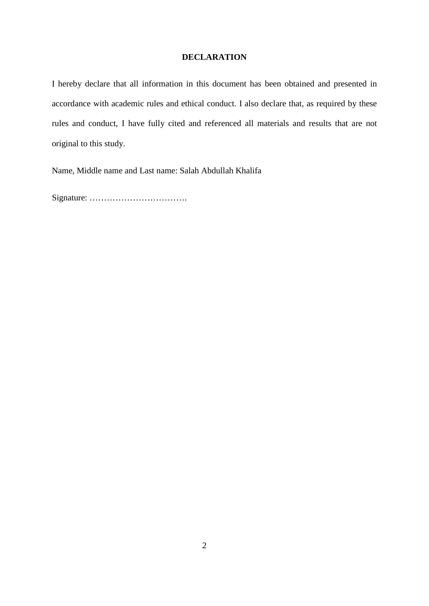# **DECLARATION**

I hereby declare that all information in this document has been obtained and presented in accordance with academic rules and ethical conduct. I also declare that, as required by these rules and conduct, I have fully cited and referenced all materials and results that are not original to this study.

Name, Middle name and Last name: Salah Abdullah Khalifa

Signature: …………………………….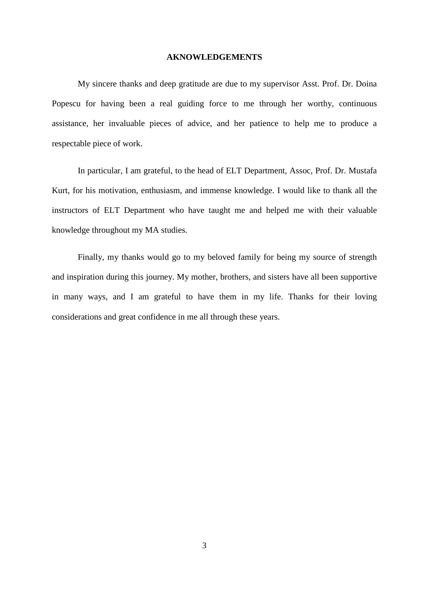#### **AKNOWLEDGEMENTS**

My sincere thanks and deep gratitude are due to my supervisor Asst. Prof. Dr. Doina Popescu for having been a real guiding force to me through her worthy, continuous assistance, her invaluable pieces of advice, and her patience to help me to produce a respectable piece of work.

In particular, I am grateful, to the head of ELT Department, Assoc, Prof. Dr. Mustafa Kurt, for his motivation, enthusiasm, and immense knowledge. I would like to thank all the instructors of ELT Department who have taught me and helped me with their valuable knowledge throughout my MA studies.

Finally, my thanks would go to my beloved family for being my source of strength and inspiration during this journey. My mother, brothers, and sisters have all been supportive in many ways, and I am grateful to have them in my life. Thanks for their loving considerations and great confidence in me all through these years.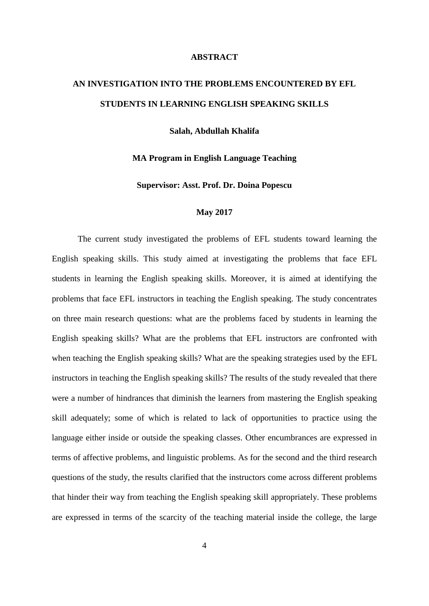#### **ABSTRACT**

# **AN INVESTIGATION INTO THE PROBLEMS ENCOUNTERED BY EFL STUDENTS IN LEARNING ENGLISH SPEAKING SKILLS**

**Salah, Abdullah Khalifa**

### **MA Program in English Language Teaching**

**Supervisor: Asst. Prof. Dr. Doina Popescu**

#### **May 2017**

The current study investigated the problems of EFL students toward learning the English speaking skills. This study aimed at investigating the problems that face EFL students in learning the English speaking skills. Moreover, it is aimed at identifying the problems that face EFL instructors in teaching the English speaking. The study concentrates on three main research questions: what are the problems faced by students in learning the English speaking skills? What are the problems that EFL instructors are confronted with when teaching the English speaking skills? What are the speaking strategies used by the EFL instructors in teaching the English speaking skills? The results of the study revealed that there were a number of hindrances that diminish the learners from mastering the English speaking skill adequately; some of which is related to lack of opportunities to practice using the language either inside or outside the speaking classes. Other encumbrances are expressed in terms of affective problems, and linguistic problems. As for the second and the third research questions of the study, the results clarified that the instructors come across different problems that hinder their way from teaching the English speaking skill appropriately. These problems are expressed in terms of the scarcity of the teaching material inside the college, the large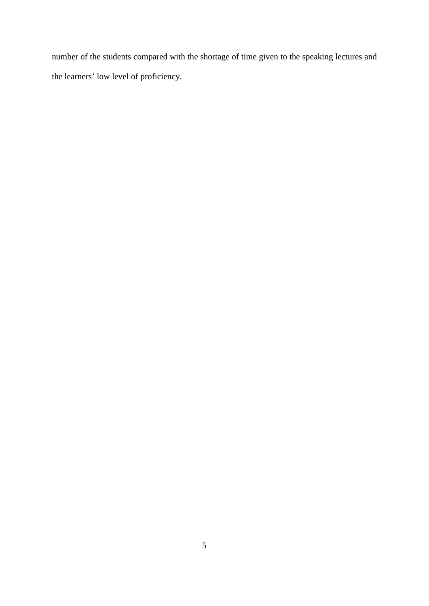number of the students compared with the shortage of time given to the speaking lectures and the learners' low level of proficiency.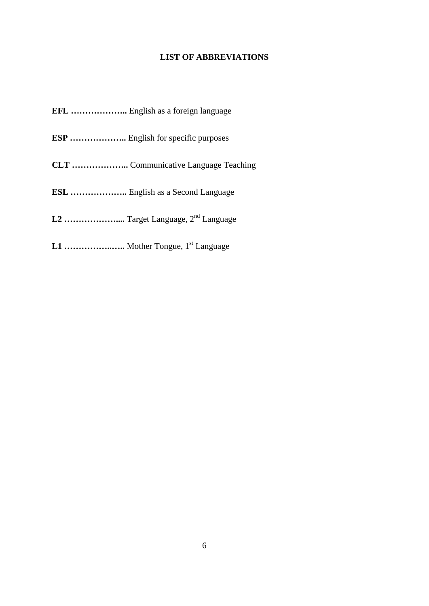# **LIST OF ABBREVIATIONS**

**EFL ………………..** English as a foreign language

- **ESP ………………..** English for specific purposes
- **CLT ………………..** Communicative Language Teaching
- **ESL ………………..** English as a Second Language
- **L2 ………………....** Target Language, 2nd Language
- **L1 ……………..…..** Mother Tongue, 1st Language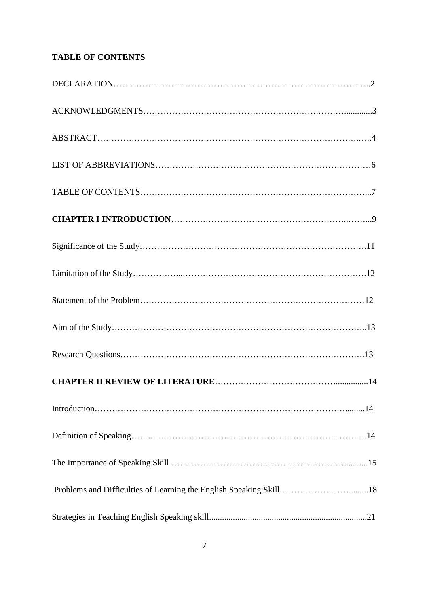# **TABLE OF CONTENTS**

| Problems and Difficulties of Learning the English Speaking Skill18 |  |
|--------------------------------------------------------------------|--|
|                                                                    |  |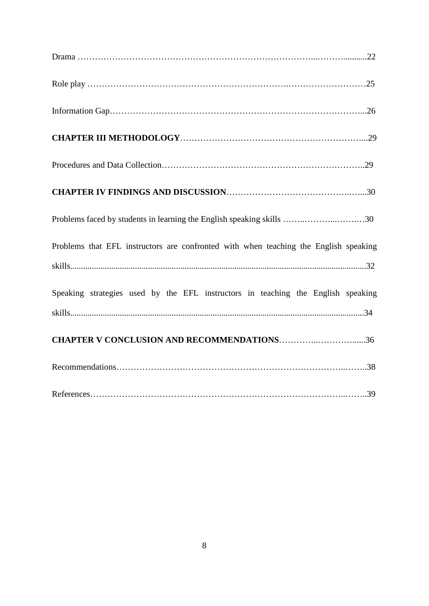| Problems faced by students in learning the English speaking skills 30                |
|--------------------------------------------------------------------------------------|
| Problems that EFL instructors are confronted with when teaching the English speaking |
|                                                                                      |
| Speaking strategies used by the EFL instructors in teaching the English speaking     |
|                                                                                      |
| <b>CHAPTER V CONCLUSION AND RECOMMENDATIONS36</b>                                    |
|                                                                                      |
|                                                                                      |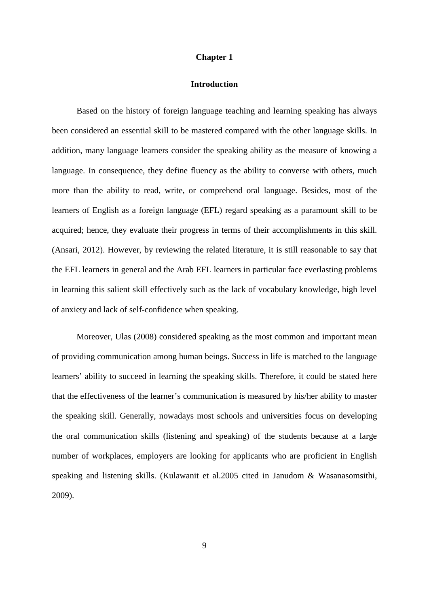#### **Chapter 1**

# **Introduction**

 Based on the history of foreign language teaching and learning speaking has always been considered an essential skill to be mastered compared with the other language skills. In addition, many language learners consider the speaking ability as the measure of knowing a language. In consequence, they define fluency as the ability to converse with others, much more than the ability to read, write, or comprehend oral language. Besides, most of the learners of English as a foreign language (EFL) regard speaking as a paramount skill to be acquired; hence, they evaluate their progress in terms of their accomplishments in this skill. (Ansari, 2012). However, by reviewing the related literature, it is still reasonable to say that the EFL learners in general and the Arab EFL learners in particular face everlasting problems in learning this salient skill effectively such as the lack of vocabulary knowledge, high level of anxiety and lack of self-confidence when speaking.

 Moreover, Ulas (2008) considered speaking as the most common and important mean of providing communication among human beings. Success in life is matched to the language learners' ability to succeed in learning the speaking skills. Therefore, it could be stated here that the effectiveness of the learner's communication is measured by his/her ability to master the speaking skill. Generally, nowadays most schools and universities focus on developing the oral communication skills (listening and speaking) of the students because at a large number of workplaces, employers are looking for applicants who are proficient in English speaking and listening skills. (Kulawanit et al.2005 cited in Janudom & Wasanasomsithi, 2009).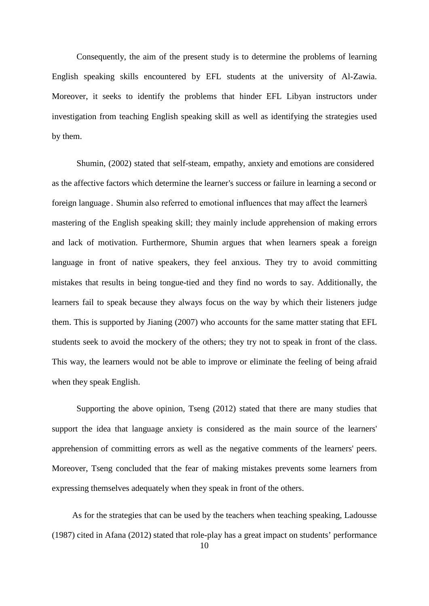Consequently, the aim of the present study is to determine the problems of learning English speaking skills encountered by EFL students at the university of Al-Zawia. Moreover, it seeks to identify the problems that hinder EFL Libyan instructors under investigation from teaching English speaking skill as well as identifying the strategies used by them.

 Shumin, (2002) stated that self-steam, empathy, anxiety and emotions are considered as the affective factors which determine the learner's success or failure in learning a second or foreign language . Shumin also referred to emotional influences that may affect the learners̓ mastering of the English speaking skill; they mainly include apprehension of making errors and lack of motivation. Furthermore, Shumin argues that when learners speak a foreign language in front of native speakers, they feel anxious. They try to avoid committing mistakes that results in being tongue-tied and they find no words to say. Additionally, the learners fail to speak because they always focus on the way by which their listeners judge them. This is supported by Jianing (2007) who accounts for the same matter stating that EFL students seek to avoid the mockery of the others; they try not to speak in front of the class. This way, the learners would not be able to improve or eliminate the feeling of being afraid when they speak English.

 Supporting the above opinion, Tseng (2012) stated that there are many studies that support the idea that language anxiety is considered as the main source of the learners' apprehension of committing errors as well as the negative comments of the learners' peers. Moreover, Tseng concluded that the fear of making mistakes prevents some learners from expressing themselves adequately when they speak in front of the others.

10 As for the strategies that can be used by the teachers when teaching speaking, Ladousse (1987) cited in Afana (2012) stated that role-play has a great impact on students' performance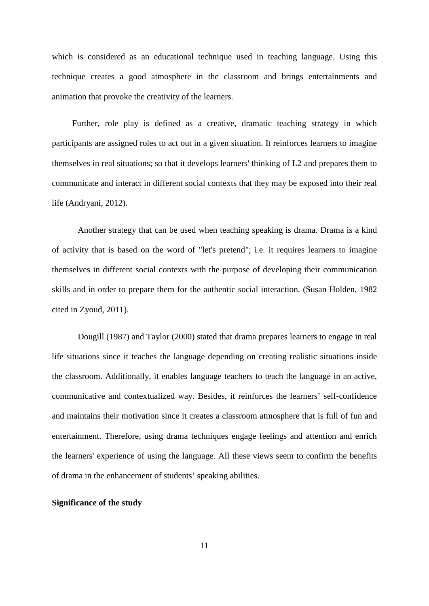which is considered as an educational technique used in teaching language. Using this technique creates a good atmosphere in the classroom and brings entertainments and animation that provoke the creativity of the learners.

Further, role play is defined as a creative, dramatic teaching strategy in which participants are assigned roles to act out in a given situation. It reinforces learners to imagine themselves in real situations; so that it develops learners' thinking of L2 and prepares them to communicate and interact in different social contexts that they may be exposed into their real life (Andryani, 2012).

Another strategy that can be used when teaching speaking is drama. Drama is a kind of activity that is based on the word of "let's pretend"; i.e. it requires learners to imagine themselves in different social contexts with the purpose of developing their communication skills and in order to prepare them for the authentic social interaction. (Susan Holden, 1982 cited in Zyoud, 2011).

Dougill (1987) and Taylor (2000) stated that drama prepares learners to engage in real life situations since it teaches the language depending on creating realistic situations inside the classroom. Additionally, it enables language teachers to teach the language in an active, communicative and contextualized way. Besides, it reinforces the learners' self-confidence and maintains their motivation since it creates a classroom atmosphere that is full of fun and entertainment. Therefore, using drama techniques engage feelings and attention and enrich the learners' experience of using the language. All these views seem to confirm the benefits of drama in the enhancement of students' speaking abilities.

#### **Significance of the study**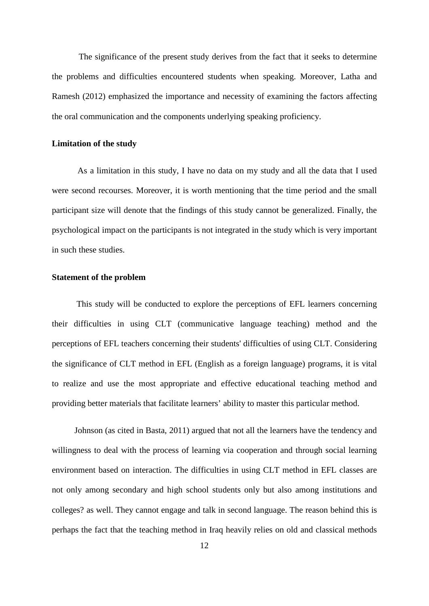The significance of the present study derives from the fact that it seeks to determine the problems and difficulties encountered students when speaking. Moreover, Latha and Ramesh (2012) emphasized the importance and necessity of examining the factors affecting the oral communication and the components underlying speaking proficiency.

#### **Limitation of the study**

As a limitation in this study, I have no data on my study and all the data that I used were second recourses. Moreover, it is worth mentioning that the time period and the small participant size will denote that the findings of this study cannot be generalized. Finally, the psychological impact on the participants is not integrated in the study which is very important in such these studies.

# **Statement of the problem**

 This study will be conducted to explore the perceptions of EFL learners concerning their difficulties in using CLT (communicative language teaching) method and the perceptions of EFL teachers concerning their students' difficulties of using CLT. Considering the significance of CLT method in EFL (English as a foreign language) programs, it is vital to realize and use the most appropriate and effective educational teaching method and providing better materials that facilitate learners' ability to master this particular method.

Johnson (as cited in Basta, 2011) argued that not all the learners have the tendency and willingness to deal with the process of learning via cooperation and through social learning environment based on interaction. The difficulties in using CLT method in EFL classes are not only among secondary and high school students only but also among institutions and colleges? as well. They cannot engage and talk in second language. The reason behind this is perhaps the fact that the teaching method in Iraq heavily relies on old and classical methods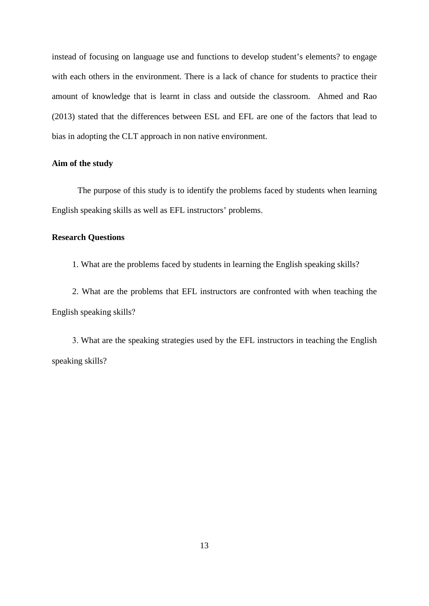instead of focusing on language use and functions to develop student's elements? to engage with each others in the environment. There is a lack of chance for students to practice their amount of knowledge that is learnt in class and outside the classroom. Ahmed and Rao (2013) stated that the differences between ESL and EFL are one of the factors that lead to bias in adopting the CLT approach in non native environment.

# **Aim of the study**

The purpose of this study is to identify the problems faced by students when learning English speaking skills as well as EFL instructors' problems.

# **Research Questions**

1. What are the problems faced by students in learning the English speaking skills?

2. What are the problems that EFL instructors are confronted with when teaching the English speaking skills?

3. What are the speaking strategies used by the EFL instructors in teaching the English speaking skills?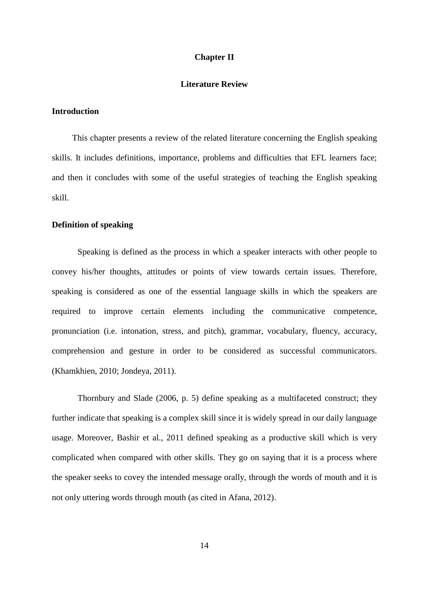## **Chapter II**

# **Literature Review**

#### **Introduction**

This chapter presents a review of the related literature concerning the English speaking skills. It includes definitions, importance, problems and difficulties that EFL learners face; and then it concludes with some of the useful strategies of teaching the English speaking skill.

# **Definition of speaking**

Speaking is defined as the process in which a speaker interacts with other people to convey his/her thoughts, attitudes or points of view towards certain issues. Therefore, speaking is considered as one of the essential language skills in which the speakers are required to improve certain elements including the communicative competence, pronunciation (i.e. intonation, stress, and pitch), grammar, vocabulary, fluency, accuracy, comprehension and gesture in order to be considered as successful communicators. (Khamkhien, 2010; Jondeya, 2011).

Thornbury and Slade (2006, p. 5) define speaking as a multifaceted construct; they further indicate that speaking is a complex skill since it is widely spread in our daily language usage. Moreover, Bashir et al., 2011 defined speaking as a productive skill which is very complicated when compared with other skills. They go on saying that it is a process where the speaker seeks to covey the intended message orally, through the words of mouth and it is not only uttering words through mouth (as cited in Afana, 2012).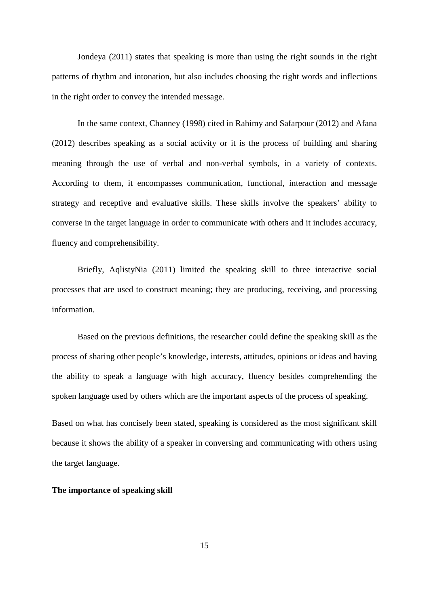Jondeya (2011) states that speaking is more than using the right sounds in the right patterns of rhythm and intonation, but also includes choosing the right words and inflections in the right order to convey the intended message.

In the same context, Channey (1998) cited in Rahimy and Safarpour (2012) and Afana (2012) describes speaking as a social activity or it is the process of building and sharing meaning through the use of verbal and non-verbal symbols, in a variety of contexts. According to them, it encompasses communication, functional, interaction and message strategy and receptive and evaluative skills. These skills involve the speakers' ability to converse in the target language in order to communicate with others and it includes accuracy, fluency and comprehensibility.

Briefly, AqlistyNia (2011) limited the speaking skill to three interactive social processes that are used to construct meaning; they are producing, receiving, and processing information.

Based on the previous definitions, the researcher could define the speaking skill as the process of sharing other people's knowledge, interests, attitudes, opinions or ideas and having the ability to speak a language with high accuracy, fluency besides comprehending the spoken language used by others which are the important aspects of the process of speaking.

Based on what has concisely been stated, speaking is considered as the most significant skill because it shows the ability of a speaker in conversing and communicating with others using the target language.

## **The importance of speaking skill**

15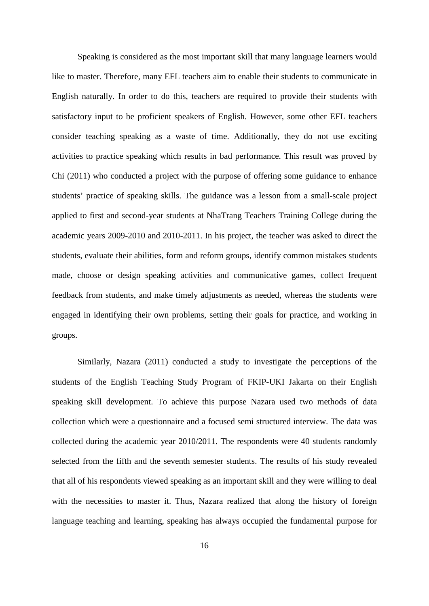Speaking is considered as the most important skill that many language learners would like to master. Therefore, many EFL teachers aim to enable their students to communicate in English naturally. In order to do this, teachers are required to provide their students with satisfactory input to be proficient speakers of English. However, some other EFL teachers consider teaching speaking as a waste of time. Additionally, they do not use exciting activities to practice speaking which results in bad performance. This result was proved by Chi (2011) who conducted a project with the purpose of offering some guidance to enhance students' practice of speaking skills. The guidance was a lesson from a small-scale project applied to first and second-year students at NhaTrang Teachers Training College during the academic years 2009-2010 and 2010-2011. In his project, the teacher was asked to direct the students, evaluate their abilities, form and reform groups, identify common mistakes students made, choose or design speaking activities and communicative games, collect frequent feedback from students, and make timely adjustments as needed, whereas the students were engaged in identifying their own problems, setting their goals for practice, and working in groups.

Similarly, Nazara (2011) conducted a study to investigate the perceptions of the students of the English Teaching Study Program of FKIP-UKI Jakarta on their English speaking skill development. To achieve this purpose Nazara used two methods of data collection which were a questionnaire and a focused semi structured interview. The data was collected during the academic year 2010/2011. The respondents were 40 students randomly selected from the fifth and the seventh semester students. The results of his study revealed that all of his respondents viewed speaking as an important skill and they were willing to deal with the necessities to master it. Thus, Nazara realized that along the history of foreign language teaching and learning, speaking has always occupied the fundamental purpose for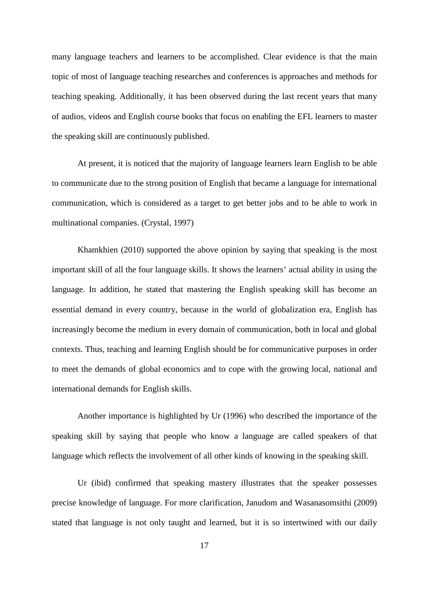many language teachers and learners to be accomplished. Clear evidence is that the main topic of most of language teaching researches and conferences is approaches and methods for teaching speaking. Additionally, it has been observed during the last recent years that many of audios, videos and English course books that focus on enabling the EFL learners to master the speaking skill are continuously published.

At present, it is noticed that the majority of language learners learn English to be able to communicate due to the strong position of English that became a language for international communication, which is considered as a target to get better jobs and to be able to work in multinational companies. (Crystal, 1997)

Khamkhien (2010) supported the above opinion by saying that speaking is the most important skill of all the four language skills. It shows the learners' actual ability in using the language. In addition, he stated that mastering the English speaking skill has become an essential demand in every country, because in the world of globalization era, English has increasingly become the medium in every domain of communication, both in local and global contexts. Thus, teaching and learning English should be for communicative purposes in order to meet the demands of global economics and to cope with the growing local, national and international demands for English skills.

Another importance is highlighted by Ur (1996) who described the importance of the speaking skill by saying that people who know a language are called speakers of that language which reflects the involvement of all other kinds of knowing in the speaking skill.

Ur (ibid) confirmed that speaking mastery illustrates that the speaker possesses precise knowledge of language. For more clarification, Janudom and Wasanasomsithi (2009) stated that language is not only taught and learned, but it is so intertwined with our daily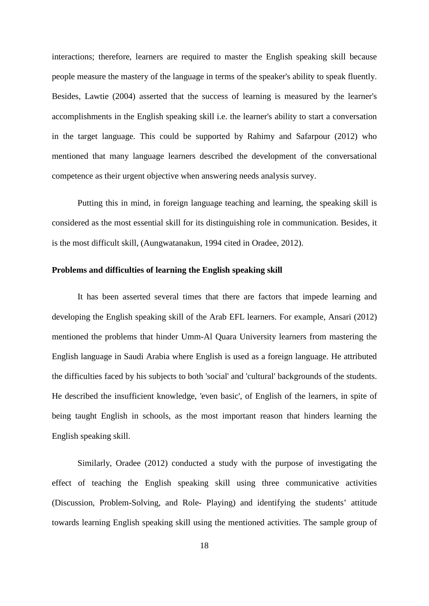interactions; therefore, learners are required to master the English speaking skill because people measure the mastery of the language in terms of the speaker's ability to speak fluently. Besides, Lawtie (2004) asserted that the success of learning is measured by the learner's accomplishments in the English speaking skill i.e. the learner's ability to start a conversation in the target language. This could be supported by Rahimy and Safarpour (2012) who mentioned that many language learners described the development of the conversational competence as their urgent objective when answering needs analysis survey.

Putting this in mind, in foreign language teaching and learning, the speaking skill is considered as the most essential skill for its distinguishing role in communication. Besides, it is the most difficult skill, (Aungwatanakun, 1994 cited in Oradee, 2012).

## **Problems and difficulties of learning the English speaking skill**

It has been asserted several times that there are factors that impede learning and developing the English speaking skill of the Arab EFL learners. For example, Ansari (2012) mentioned the problems that hinder Umm-Al Quara University learners from mastering the English language in Saudi Arabia where English is used as a foreign language. He attributed the difficulties faced by his subjects to both 'social' and 'cultural' backgrounds of the students. He described the insufficient knowledge, 'even basic', of English of the learners, in spite of being taught English in schools, as the most important reason that hinders learning the English speaking skill.

Similarly, Oradee (2012) conducted a study with the purpose of investigating the effect of teaching the English speaking skill using three communicative activities (Discussion, Problem-Solving, and Role- Playing) and identifying the students' attitude towards learning English speaking skill using the mentioned activities. The sample group of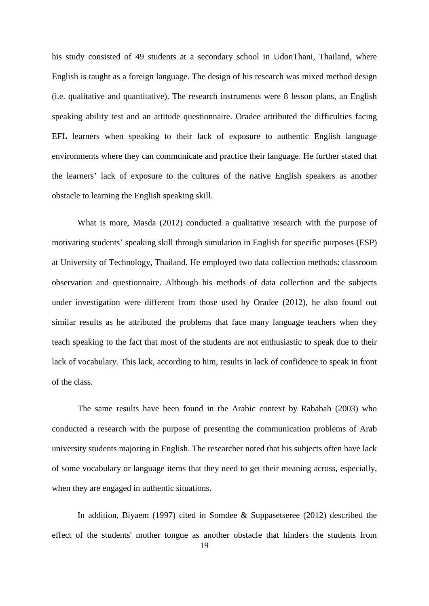his study consisted of 49 students at a secondary school in UdonThani, Thailand, where English is taught as a foreign language. The design of his research was mixed method design (i.e. qualitative and quantitative). The research instruments were 8 lesson plans, an English speaking ability test and an attitude questionnaire. Oradee attributed the difficulties facing EFL learners when speaking to their lack of exposure to authentic English language environments where they can communicate and practice their language. He further stated that the learners' lack of exposure to the cultures of the native English speakers as another obstacle to learning the English speaking skill.

What is more, Masda (2012) conducted a qualitative research with the purpose of motivating students' speaking skill through simulation in English for specific purposes (ESP) at University of Technology, Thailand. He employed two data collection methods: classroom observation and questionnaire. Although his methods of data collection and the subjects under investigation were different from those used by Oradee (2012), he also found out similar results as he attributed the problems that face many language teachers when they teach speaking to the fact that most of the students are not enthusiastic to speak due to their lack of vocabulary. This lack, according to him, results in lack of confidence to speak in front of the class.

The same results have been found in the Arabic context by Rababah (2003) who conducted a research with the purpose of presenting the communication problems of Arab university students majoring in English. The researcher noted that his subjects often have lack of some vocabulary or language items that they need to get their meaning across, especially, when they are engaged in authentic situations.

In addition, Biyaem (1997) cited in Somdee & Suppasetseree (2012) described the effect of the students' mother tongue as another obstacle that hinders the students from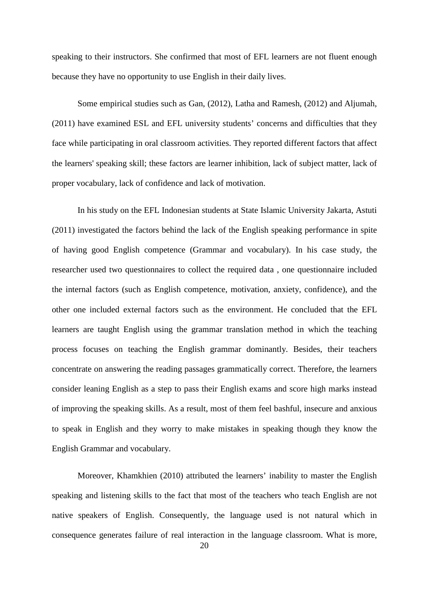speaking to their instructors. She confirmed that most of EFL learners are not fluent enough because they have no opportunity to use English in their daily lives.

Some empirical studies such as Gan, (2012), Latha and Ramesh, (2012) and Aljumah, (2011) have examined ESL and EFL university students' concerns and difficulties that they face while participating in oral classroom activities. They reported different factors that affect the learners' speaking skill; these factors are learner inhibition, lack of subject matter, lack of proper vocabulary, lack of confidence and lack of motivation.

In his study on the EFL Indonesian students at State Islamic University Jakarta, Astuti (2011) investigated the factors behind the lack of the English speaking performance in spite of having good English competence (Grammar and vocabulary). In his case study, the researcher used two questionnaires to collect the required data , one questionnaire included the internal factors (such as English competence, motivation, anxiety, confidence), and the other one included external factors such as the environment. He concluded that the EFL learners are taught English using the grammar translation method in which the teaching process focuses on teaching the English grammar dominantly. Besides, their teachers concentrate on answering the reading passages grammatically correct. Therefore, the learners consider leaning English as a step to pass their English exams and score high marks instead of improving the speaking skills. As a result, most of them feel bashful, insecure and anxious to speak in English and they worry to make mistakes in speaking though they know the English Grammar and vocabulary.

Moreover, Khamkhien (2010) attributed the learners' inability to master the English speaking and listening skills to the fact that most of the teachers who teach English are not native speakers of English. Consequently, the language used is not natural which in consequence generates failure of real interaction in the language classroom. What is more,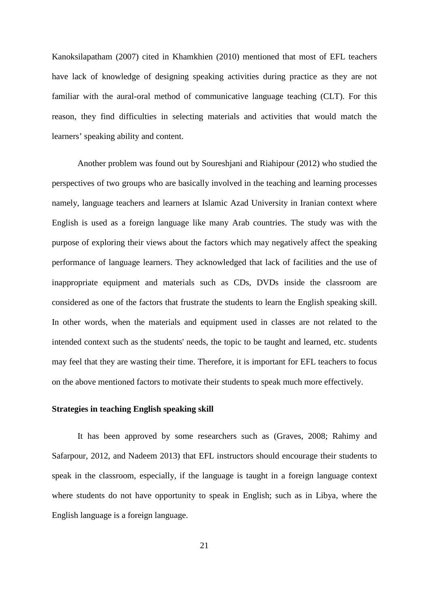Kanoksilapatham (2007) cited in Khamkhien (2010) mentioned that most of EFL teachers have lack of knowledge of designing speaking activities during practice as they are not familiar with the aural-oral method of communicative language teaching (CLT). For this reason, they find difficulties in selecting materials and activities that would match the learners' speaking ability and content.

Another problem was found out by Soureshjani and Riahipour (2012) who studied the perspectives of two groups who are basically involved in the teaching and learning processes namely, language teachers and learners at Islamic Azad University in Iranian context where English is used as a foreign language like many Arab countries. The study was with the purpose of exploring their views about the factors which may negatively affect the speaking performance of language learners. They acknowledged that lack of facilities and the use of inappropriate equipment and materials such as CDs, DVDs inside the classroom are considered as one of the factors that frustrate the students to learn the English speaking skill. In other words, when the materials and equipment used in classes are not related to the intended context such as the students' needs, the topic to be taught and learned, etc. students may feel that they are wasting their time. Therefore, it is important for EFL teachers to focus on the above mentioned factors to motivate their students to speak much more effectively.

# **Strategies in teaching English speaking skill**

It has been approved by some researchers such as (Graves, 2008; Rahimy and Safarpour, 2012, and Nadeem 2013) that EFL instructors should encourage their students to speak in the classroom, especially, if the language is taught in a foreign language context where students do not have opportunity to speak in English; such as in Libya, where the English language is a foreign language.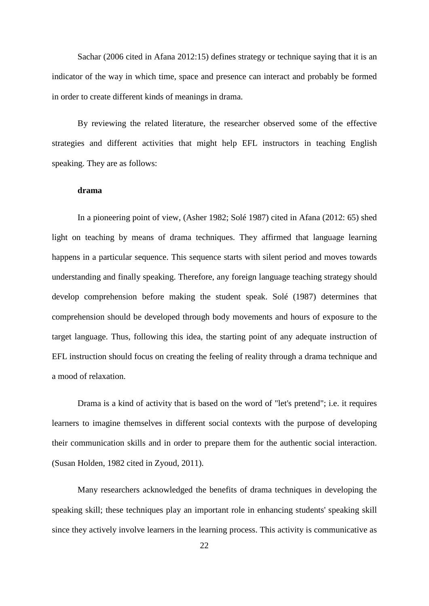Sachar (2006 cited in Afana 2012:15) defines strategy or technique saying that it is an indicator of the way in which time, space and presence can interact and probably be formed in order to create different kinds of meanings in drama.

By reviewing the related literature, the researcher observed some of the effective strategies and different activities that might help EFL instructors in teaching English speaking. They are as follows:

# **drama**

In a pioneering point of view, (Asher 1982; Solé 1987) cited in Afana (2012: 65) shed light on teaching by means of drama techniques. They affirmed that language learning happens in a particular sequence. This sequence starts with silent period and moves towards understanding and finally speaking. Therefore, any foreign language teaching strategy should develop comprehension before making the student speak. Solé (1987) determines that comprehension should be developed through body movements and hours of exposure to the target language. Thus, following this idea, the starting point of any adequate instruction of EFL instruction should focus on creating the feeling of reality through a drama technique and a mood of relaxation.

Drama is a kind of activity that is based on the word of "let's pretend"; i.e. it requires learners to imagine themselves in different social contexts with the purpose of developing their communication skills and in order to prepare them for the authentic social interaction. (Susan Holden, 1982 cited in Zyoud, 2011).

Many researchers acknowledged the benefits of drama techniques in developing the speaking skill; these techniques play an important role in enhancing students' speaking skill since they actively involve learners in the learning process. This activity is communicative as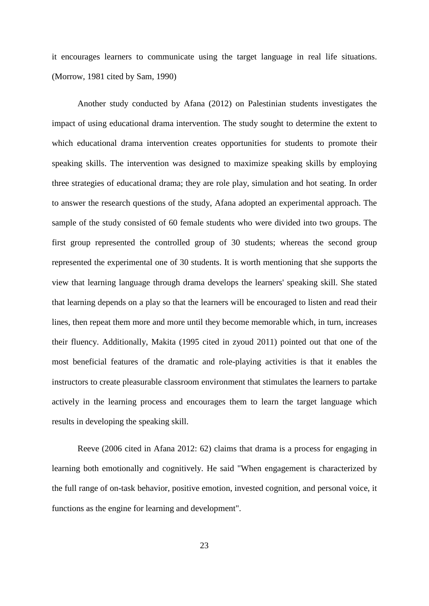it encourages learners to communicate using the target language in real life situations. (Morrow, 1981 cited by Sam, 1990)

Another study conducted by Afana (2012) on Palestinian students investigates the impact of using educational drama intervention. The study sought to determine the extent to which educational drama intervention creates opportunities for students to promote their speaking skills. The intervention was designed to maximize speaking skills by employing three strategies of educational drama; they are role play, simulation and hot seating. In order to answer the research questions of the study, Afana adopted an experimental approach. The sample of the study consisted of 60 female students who were divided into two groups. The first group represented the controlled group of 30 students; whereas the second group represented the experimental one of 30 students. It is worth mentioning that she supports the view that learning language through drama develops the learners' speaking skill. She stated that learning depends on a play so that the learners will be encouraged to listen and read their lines, then repeat them more and more until they become memorable which, in turn, increases their fluency. Additionally, Makita (1995 cited in zyoud 2011) pointed out that one of the most beneficial features of the dramatic and role-playing activities is that it enables the instructors to create pleasurable classroom environment that stimulates the learners to partake actively in the learning process and encourages them to learn the target language which results in developing the speaking skill.

Reeve (2006 cited in Afana 2012: 62) claims that drama is a process for engaging in learning both emotionally and cognitively. He said "When engagement is characterized by the full range of on-task behavior, positive emotion, invested cognition, and personal voice, it functions as the engine for learning and development".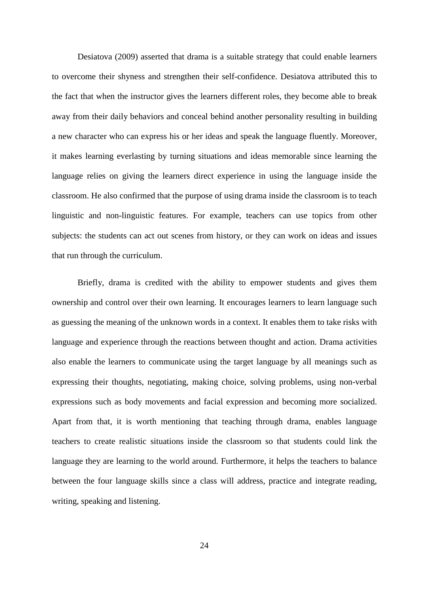Desiatova (2009) asserted that drama is a suitable strategy that could enable learners to overcome their shyness and strengthen their self-confidence. Desiatova attributed this to the fact that when the instructor gives the learners different roles, they become able to break away from their daily behaviors and conceal behind another personality resulting in building a new character who can express his or her ideas and speak the language fluently. Moreover, it makes learning everlasting by turning situations and ideas memorable since learning the language relies on giving the learners direct experience in using the language inside the classroom. He also confirmed that the purpose of using drama inside the classroom is to teach linguistic and non-linguistic features. For example, teachers can use topics from other subjects: the students can act out scenes from history, or they can work on ideas and issues that run through the curriculum.

Briefly, drama is credited with the ability to empower students and gives them ownership and control over their own learning. It encourages learners to learn language such as guessing the meaning of the unknown words in a context. It enables them to take risks with language and experience through the reactions between thought and action. Drama activities also enable the learners to communicate using the target language by all meanings such as expressing their thoughts, negotiating, making choice, solving problems, using non-verbal expressions such as body movements and facial expression and becoming more socialized. Apart from that, it is worth mentioning that teaching through drama, enables language teachers to create realistic situations inside the classroom so that students could link the language they are learning to the world around. Furthermore, it helps the teachers to balance between the four language skills since a class will address, practice and integrate reading, writing, speaking and listening.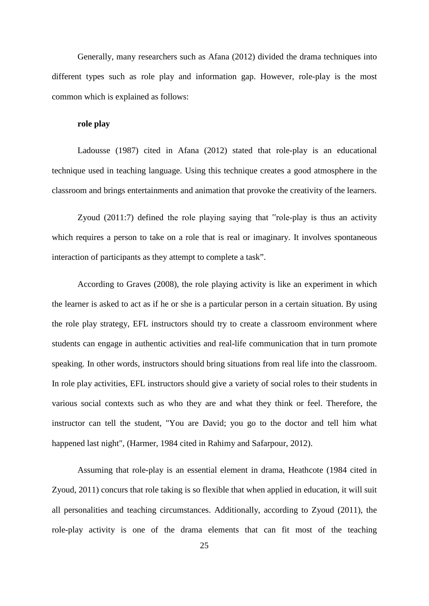Generally, many researchers such as Afana (2012) divided the drama techniques into different types such as role play and information gap. However, role-play is the most common which is explained as follows:

### **role play**

Ladousse (1987) cited in Afana (2012) stated that role-play is an educational technique used in teaching language. Using this technique creates a good atmosphere in the classroom and brings entertainments and animation that provoke the creativity of the learners.

Zyoud (2011:7) defined the role playing saying that "role-play is thus an activity which requires a person to take on a role that is real or imaginary. It involves spontaneous interaction of participants as they attempt to complete a task".

According to Graves (2008), the role playing activity is like an experiment in which the learner is asked to act as if he or she is a particular person in a certain situation. By using the role play strategy, EFL instructors should try to create a classroom environment where students can engage in authentic activities and real-life communication that in turn promote speaking. In other words, instructors should bring situations from real life into the classroom. In role play activities, EFL instructors should give a variety of social roles to their students in various social contexts such as who they are and what they think or feel. Therefore, the instructor can tell the student, "You are David; you go to the doctor and tell him what happened last night", (Harmer, 1984 cited in Rahimy and Safarpour, 2012).

Assuming that role-play is an essential element in drama, Heathcote (1984 cited in Zyoud, 2011) concurs that role taking is so flexible that when applied in education, it will suit all personalities and teaching circumstances. Additionally, according to Zyoud (2011), the role-play activity is one of the drama elements that can fit most of the teaching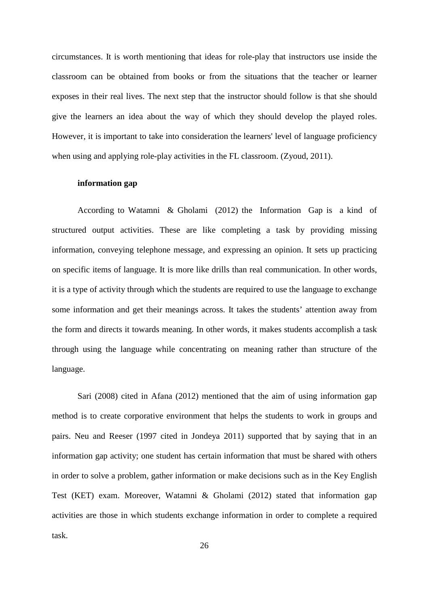circumstances. It is worth mentioning that ideas for role-play that instructors use inside the classroom can be obtained from books or from the situations that the teacher or learner exposes in their real lives. The next step that the instructor should follow is that she should give the learners an idea about the way of which they should develop the played roles. However, it is important to take into consideration the learners' level of language proficiency when using and applying role-play activities in the FL classroom. (Zyoud, 2011).

#### **information gap**

According to Watamni & Gholami (2012) the Information Gap is a kind of structured output activities. These are like completing a task by providing missing information, conveying telephone message, and expressing an opinion. It sets up practicing on specific items of language. It is more like drills than real communication. In other words, it is a type of activity through which the students are required to use the language to exchange some information and get their meanings across. It takes the students' attention away from the form and directs it towards meaning. In other words, it makes students accomplish a task through using the language while concentrating on meaning rather than structure of the language.

Sari (2008) cited in Afana (2012) mentioned that the aim of using information gap method is to create corporative environment that helps the students to work in groups and pairs. Neu and Reeser (1997 cited in Jondeya 2011) supported that by saying that in an information gap activity; one student has certain information that must be shared with others in order to solve a problem, gather information or make decisions such as in the Key English Test (KET) exam. Moreover, Watamni & Gholami (2012) stated that information gap activities are those in which students exchange information in order to complete a required task.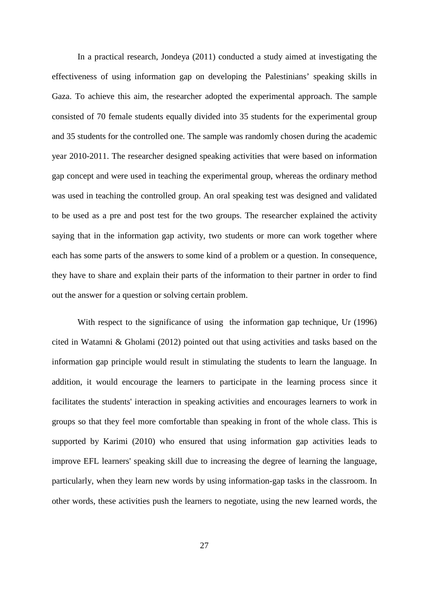In a practical research, Jondeya (2011) conducted a study aimed at investigating the effectiveness of using information gap on developing the Palestinians' speaking skills in Gaza. To achieve this aim, the researcher adopted the experimental approach. The sample consisted of 70 female students equally divided into 35 students for the experimental group and 35 students for the controlled one. The sample was randomly chosen during the academic year 2010-2011. The researcher designed speaking activities that were based on information gap concept and were used in teaching the experimental group, whereas the ordinary method was used in teaching the controlled group. An oral speaking test was designed and validated to be used as a pre and post test for the two groups. The researcher explained the activity saying that in the information gap activity, two students or more can work together where each has some parts of the answers to some kind of a problem or a question. In consequence, they have to share and explain their parts of the information to their partner in order to find out the answer for a question or solving certain problem.

With respect to the significance of using the information gap technique, Ur (1996) cited in Watamni & Gholami (2012) pointed out that using activities and tasks based on the information gap principle would result in stimulating the students to learn the language. In addition, it would encourage the learners to participate in the learning process since it facilitates the students' interaction in speaking activities and encourages learners to work in groups so that they feel more comfortable than speaking in front of the whole class. This is supported by Karimi (2010) who ensured that using information gap activities leads to improve EFL learners' speaking skill due to increasing the degree of learning the language, particularly, when they learn new words by using information-gap tasks in the classroom. In other words, these activities push the learners to negotiate, using the new learned words, the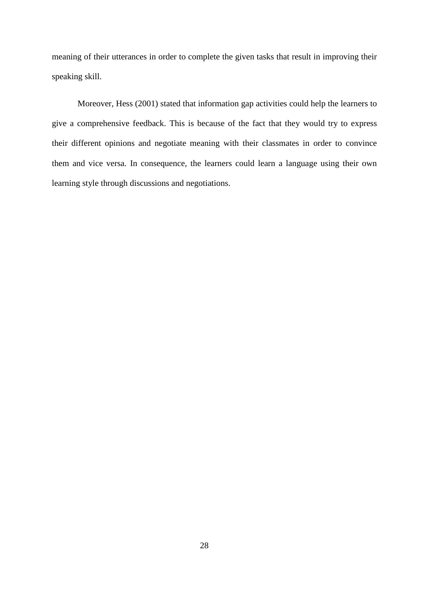meaning of their utterances in order to complete the given tasks that result in improving their speaking skill.

Moreover, Hess (2001) stated that information gap activities could help the learners to give a comprehensive feedback. This is because of the fact that they would try to express their different opinions and negotiate meaning with their classmates in order to convince them and vice versa. In consequence, the learners could learn a language using their own learning style through discussions and negotiations.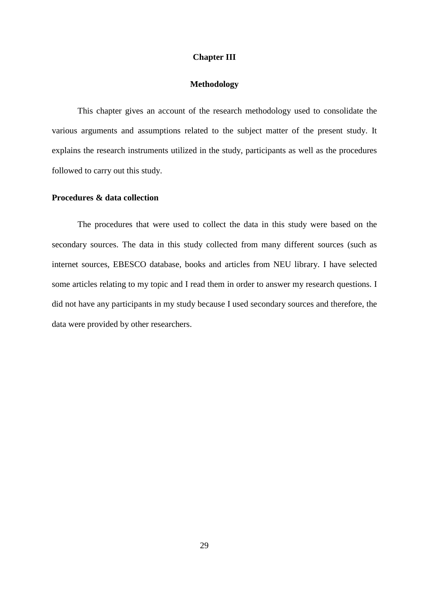#### **Chapter III**

# **Methodology**

This chapter gives an account of the research methodology used to consolidate the various arguments and assumptions related to the subject matter of the present study. It explains the research instruments utilized in the study, participants as well as the procedures followed to carry out this study.

# **Procedures & data collection**

The procedures that were used to collect the data in this study were based on the secondary sources. The data in this study collected from many different sources (such as internet sources, EBESCO database, books and articles from NEU library. I have selected some articles relating to my topic and I read them in order to answer my research questions. I did not have any participants in my study because I used secondary sources and therefore, the data were provided by other researchers.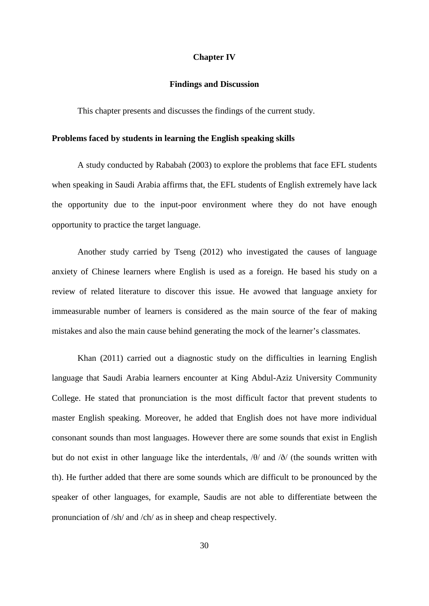#### **Chapter IV**

# **Findings and Discussion**

This chapter presents and discusses the findings of the current study.

# **Problems faced by students in learning the English speaking skills**

A study conducted by Rababah (2003) to explore the problems that face EFL students when speaking in Saudi Arabia affirms that, the EFL students of English extremely have lack the opportunity due to the input-poor environment where they do not have enough opportunity to practice the target language.

Another study carried by Tseng (2012) who investigated the causes of language anxiety of Chinese learners where English is used as a foreign. He based his study on a review of related literature to discover this issue. He avowed that language anxiety for immeasurable number of learners is considered as the main source of the fear of making mistakes and also the main cause behind generating the mock of the learner's classmates.

Khan (2011) carried out a diagnostic study on the difficulties in learning English language that Saudi Arabia learners encounter at King Abdul-Aziz University Community College. He stated that pronunciation is the most difficult factor that prevent students to master English speaking. Moreover, he added that English does not have more individual consonant sounds than most languages. However there are some sounds that exist in English but do not exist in other language like the interdentals, /θ/ and /ð/ (the sounds written with th). He further added that there are some sounds which are difficult to be pronounced by the speaker of other languages, for example, Saudis are not able to differentiate between the pronunciation of /sh/ and /ch/ as in sheep and cheap respectively.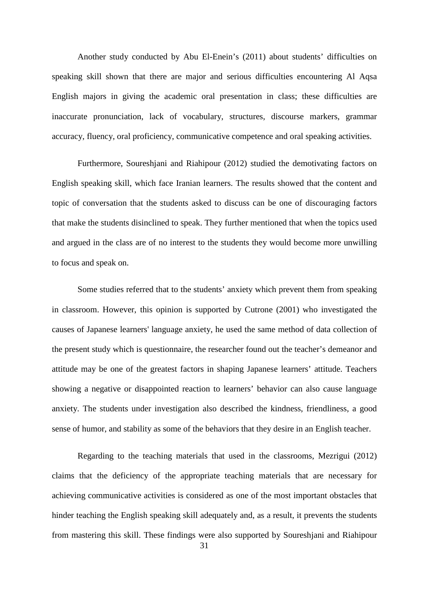Another study conducted by Abu El-Enein's (2011) about students' difficulties on speaking skill shown that there are major and serious difficulties encountering Al Aqsa English majors in giving the academic oral presentation in class; these difficulties are inaccurate pronunciation, lack of vocabulary, structures, discourse markers, grammar accuracy, fluency, oral proficiency, communicative competence and oral speaking activities.

Furthermore, Soureshjani and Riahipour (2012) studied the demotivating factors on English speaking skill, which face Iranian learners. The results showed that the content and topic of conversation that the students asked to discuss can be one of discouraging factors that make the students disinclined to speak. They further mentioned that when the topics used and argued in the class are of no interest to the students they would become more unwilling to focus and speak on.

Some studies referred that to the students' anxiety which prevent them from speaking in classroom. However, this opinion is supported by Cutrone (2001) who investigated the causes of Japanese learners' language anxiety, he used the same method of data collection of the present study which is questionnaire, the researcher found out the teacher's demeanor and attitude may be one of the greatest factors in shaping Japanese learners' attitude. Teachers showing a negative or disappointed reaction to learners' behavior can also cause language anxiety. The students under investigation also described the kindness, friendliness, a good sense of humor, and stability as some of the behaviors that they desire in an English teacher.

Regarding to the teaching materials that used in the classrooms, Mezrigui (2012) claims that the deficiency of the appropriate teaching materials that are necessary for achieving communicative activities is considered as one of the most important obstacles that hinder teaching the English speaking skill adequately and, as a result, it prevents the students from mastering this skill. These findings were also supported by Soureshjani and Riahipour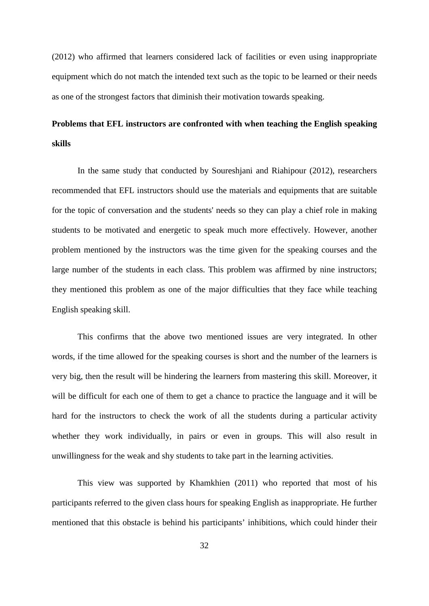(2012) who affirmed that learners considered lack of facilities or even using inappropriate equipment which do not match the intended text such as the topic to be learned or their needs as one of the strongest factors that diminish their motivation towards speaking.

# **Problems that EFL instructors are confronted with when teaching the English speaking skills**

In the same study that conducted by Soureshjani and Riahipour (2012), researchers recommended that EFL instructors should use the materials and equipments that are suitable for the topic of conversation and the students' needs so they can play a chief role in making students to be motivated and energetic to speak much more effectively. However, another problem mentioned by the instructors was the time given for the speaking courses and the large number of the students in each class. This problem was affirmed by nine instructors; they mentioned this problem as one of the major difficulties that they face while teaching English speaking skill.

This confirms that the above two mentioned issues are very integrated. In other words, if the time allowed for the speaking courses is short and the number of the learners is very big, then the result will be hindering the learners from mastering this skill. Moreover, it will be difficult for each one of them to get a chance to practice the language and it will be hard for the instructors to check the work of all the students during a particular activity whether they work individually, in pairs or even in groups. This will also result in unwillingness for the weak and shy students to take part in the learning activities.

This view was supported by Khamkhien (2011) who reported that most of his participants referred to the given class hours for speaking English as inappropriate. He further mentioned that this obstacle is behind his participants' inhibitions, which could hinder their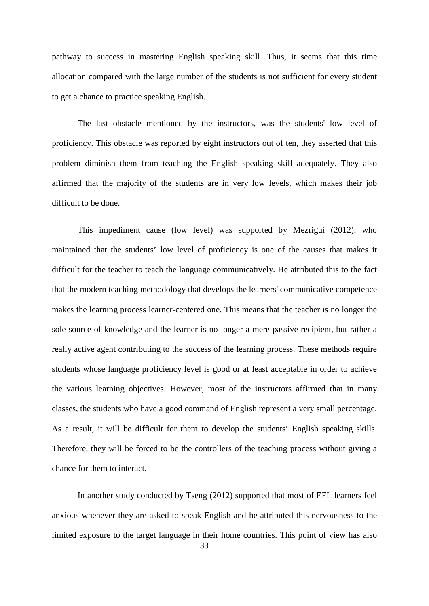pathway to success in mastering English speaking skill. Thus, it seems that this time allocation compared with the large number of the students is not sufficient for every student to get a chance to practice speaking English.

The last obstacle mentioned by the instructors, was the students' low level of proficiency. This obstacle was reported by eight instructors out of ten, they asserted that this problem diminish them from teaching the English speaking skill adequately. They also affirmed that the majority of the students are in very low levels, which makes their job difficult to be done.

This impediment cause (low level) was supported by Mezrigui (2012), who maintained that the students' low level of proficiency is one of the causes that makes it difficult for the teacher to teach the language communicatively. He attributed this to the fact that the modern teaching methodology that develops the learners' communicative competence makes the learning process learner-centered one. This means that the teacher is no longer the sole source of knowledge and the learner is no longer a mere passive recipient, but rather a really active agent contributing to the success of the learning process. These methods require students whose language proficiency level is good or at least acceptable in order to achieve the various learning objectives. However, most of the instructors affirmed that in many classes, the students who have a good command of English represent a very small percentage. As a result, it will be difficult for them to develop the students' English speaking skills. Therefore, they will be forced to be the controllers of the teaching process without giving a chance for them to interact.

33 In another study conducted by Tseng (2012) supported that most of EFL learners feel anxious whenever they are asked to speak English and he attributed this nervousness to the limited exposure to the target language in their home countries. This point of view has also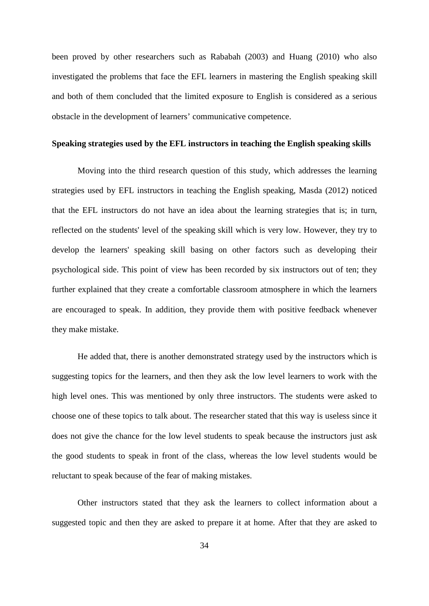been proved by other researchers such as Rababah (2003) and Huang (2010) who also investigated the problems that face the EFL learners in mastering the English speaking skill and both of them concluded that the limited exposure to English is considered as a serious obstacle in the development of learners' communicative competence.

### **Speaking strategies used by the EFL instructors in teaching the English speaking skills**

Moving into the third research question of this study, which addresses the learning strategies used by EFL instructors in teaching the English speaking, Masda (2012) noticed that the EFL instructors do not have an idea about the learning strategies that is; in turn, reflected on the students' level of the speaking skill which is very low. However, they try to develop the learners' speaking skill basing on other factors such as developing their psychological side. This point of view has been recorded by six instructors out of ten; they further explained that they create a comfortable classroom atmosphere in which the learners are encouraged to speak. In addition, they provide them with positive feedback whenever they make mistake.

He added that, there is another demonstrated strategy used by the instructors which is suggesting topics for the learners, and then they ask the low level learners to work with the high level ones. This was mentioned by only three instructors. The students were asked to choose one of these topics to talk about. The researcher stated that this way is useless since it does not give the chance for the low level students to speak because the instructors just ask the good students to speak in front of the class, whereas the low level students would be reluctant to speak because of the fear of making mistakes.

Other instructors stated that they ask the learners to collect information about a suggested topic and then they are asked to prepare it at home. After that they are asked to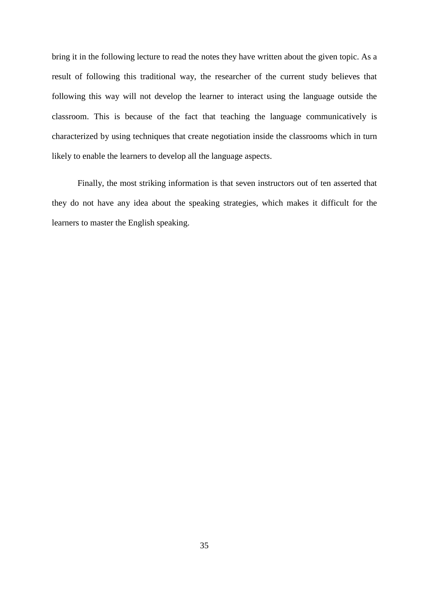bring it in the following lecture to read the notes they have written about the given topic. As a result of following this traditional way, the researcher of the current study believes that following this way will not develop the learner to interact using the language outside the classroom. This is because of the fact that teaching the language communicatively is characterized by using techniques that create negotiation inside the classrooms which in turn likely to enable the learners to develop all the language aspects.

Finally, the most striking information is that seven instructors out of ten asserted that they do not have any idea about the speaking strategies, which makes it difficult for the learners to master the English speaking.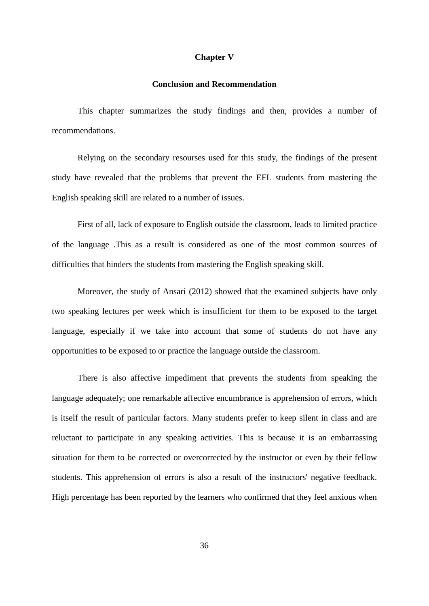#### **Chapter V**

# **Conclusion and Recommendation**

This chapter summarizes the study findings and then, provides a number of recommendations.

Relying on the secondary resourses used for this study, the findings of the present study have revealed that the problems that prevent the EFL students from mastering the English speaking skill are related to a number of issues.

First of all, lack of exposure to English outside the classroom, leads to limited practice of the language .This as a result is considered as one of the most common sources of difficulties that hinders the students from mastering the English speaking skill.

Moreover, the study of Ansari (2012) showed that the examined subjects have only two speaking lectures per week which is insufficient for them to be exposed to the target language, especially if we take into account that some of students do not have any opportunities to be exposed to or practice the language outside the classroom.

There is also affective impediment that prevents the students from speaking the language adequately; one remarkable affective encumbrance is apprehension of errors, which is itself the result of particular factors. Many students prefer to keep silent in class and are reluctant to participate in any speaking activities. This is because it is an embarrassing situation for them to be corrected or overcorrected by the instructor or even by their fellow students. This apprehension of errors is also a result of the instructors' negative feedback. High percentage has been reported by the learners who confirmed that they feel anxious when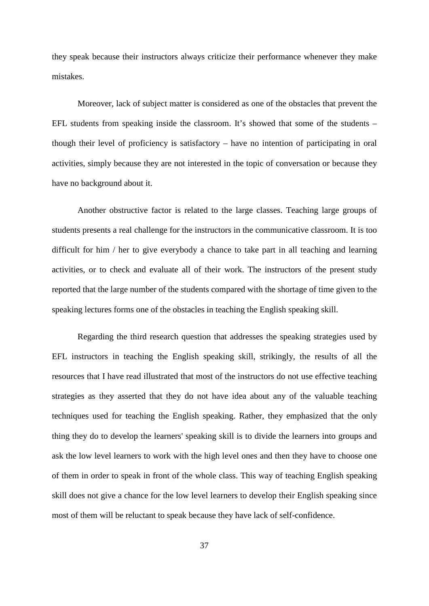they speak because their instructors always criticize their performance whenever they make mistakes.

Moreover, lack of subject matter is considered as one of the obstacles that prevent the EFL students from speaking inside the classroom. It's showed that some of the students – though their level of proficiency is satisfactory – have no intention of participating in oral activities, simply because they are not interested in the topic of conversation or because they have no background about it.

Another obstructive factor is related to the large classes. Teaching large groups of students presents a real challenge for the instructors in the communicative classroom. It is too difficult for him / her to give everybody a chance to take part in all teaching and learning activities, or to check and evaluate all of their work. The instructors of the present study reported that the large number of the students compared with the shortage of time given to the speaking lectures forms one of the obstacles in teaching the English speaking skill.

Regarding the third research question that addresses the speaking strategies used by EFL instructors in teaching the English speaking skill, strikingly, the results of all the resources that I have read illustrated that most of the instructors do not use effective teaching strategies as they asserted that they do not have idea about any of the valuable teaching techniques used for teaching the English speaking. Rather, they emphasized that the only thing they do to develop the learners' speaking skill is to divide the learners into groups and ask the low level learners to work with the high level ones and then they have to choose one of them in order to speak in front of the whole class. This way of teaching English speaking skill does not give a chance for the low level learners to develop their English speaking since most of them will be reluctant to speak because they have lack of self-confidence.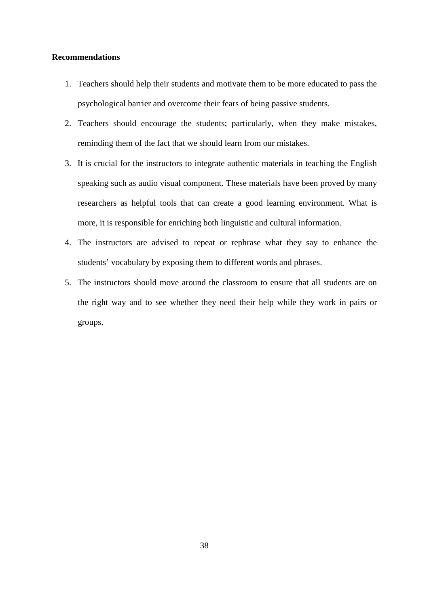## **Recommendations**

- 1. Teachers should help their students and motivate them to be more educated to pass the psychological barrier and overcome their fears of being passive students.
- 2. Teachers should encourage the students; particularly, when they make mistakes, reminding them of the fact that we should learn from our mistakes.
- 3. It is crucial for the instructors to integrate authentic materials in teaching the English speaking such as audio visual component. These materials have been proved by many researchers as helpful tools that can create a good learning environment. What is more, it is responsible for enriching both linguistic and cultural information.
- 4. The instructors are advised to repeat or rephrase what they say to enhance the students' vocabulary by exposing them to different words and phrases.
- 5. The instructors should move around the classroom to ensure that all students are on the right way and to see whether they need their help while they work in pairs or groups.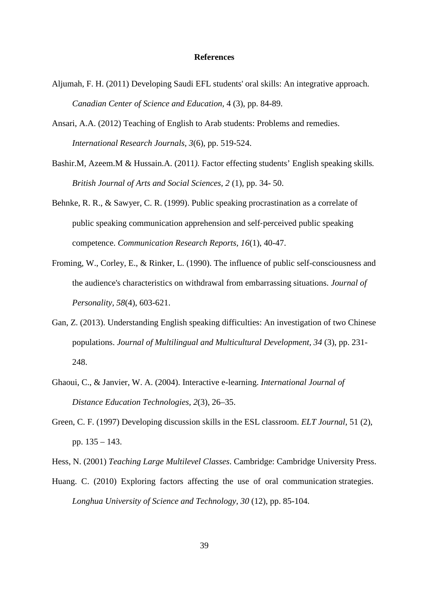#### **References**

- Aljumah, F. H. (2011) Developing Saudi EFL students' oral skills: An integrative approach. *Canadian Center of Science and Education,* 4 (3), pp. 84-89.
- Ansari, A.A. (2012) Teaching of English to Arab students: Problems and remedies. *International Research Journals, 3*(6), pp. 519-524.
- Bashir.M, Azeem.M & Hussain.A. (2011*).* Factor effecting students' English speaking skills*. British Journal of Arts and Social Sciences, 2* (1), pp. 34- 50.
- Behnke, R. R., & Sawyer, C. R. (1999). Public speaking procrastination as a correlate of public speaking communication apprehension and self‐perceived public speaking competence. *Communication Research Reports, 16*(1), 40-47.
- Froming, W., Corley, E., & Rinker, L. (1990). The influence of public self-consciousness and the audience's characteristics on withdrawal from embarrassing situations. *Journal of Personality, 58*(4), 603-621.
- Gan, Z. (2013). Understanding English speaking difficulties: An investigation of two Chinese populations. *Journal of Multilingual and Multicultural Development, 34* (3), pp. 231- 248.
- Ghaoui, C., & Janvier, W. A. (2004). Interactive e-learning. *International Journal of Distance Education Technologies, 2*(3), 26–35.
- Green, C. F. (1997) Developing discussion skills in the ESL classroom. *ELT Journal*, 51 (2), pp. 135 – 143.

Hess, N. (2001) *Teaching Large Multilevel Classes*. Cambridge: Cambridge University Press.

Huang. C. (2010) Exploring factors affecting the use of oral communication strategies. *Longhua University of Science and Technology, 30* (12), pp. 85-104.